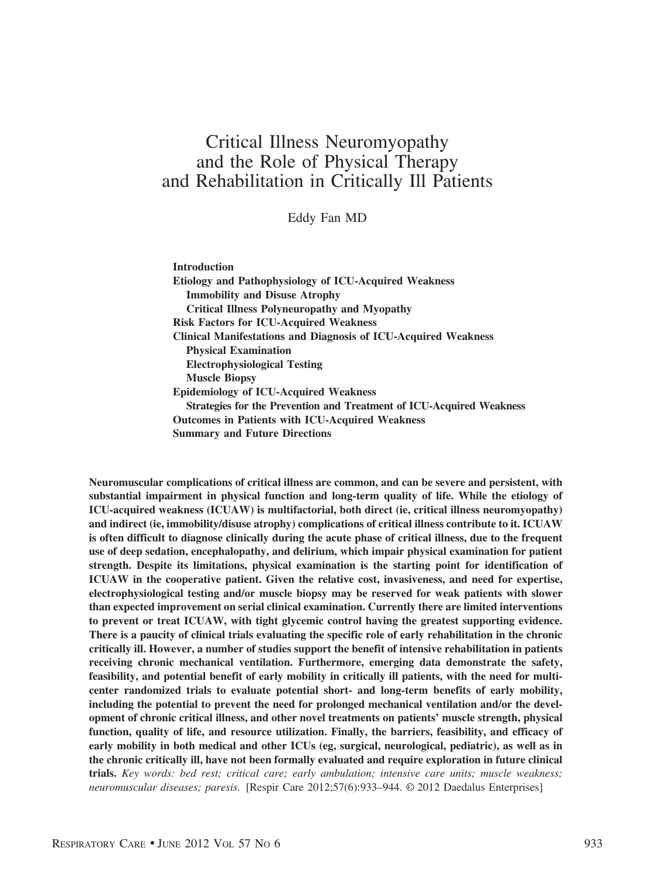# Critical Illness Neuromyopathy and the Role of Physical Therapy and Rehabilitation in Critically Ill Patients

Eddy Fan MD

**Introduction Etiology and Pathophysiology of ICU-Acquired Weakness Immobility and Disuse Atrophy Critical Illness Polyneuropathy and Myopathy Risk Factors for ICU-Acquired Weakness Clinical Manifestations and Diagnosis of ICU-Acquired Weakness Physical Examination Electrophysiological Testing Muscle Biopsy Epidemiology of ICU-Acquired Weakness Strategies for the Prevention and Treatment of ICU-Acquired Weakness Outcomes in Patients with ICU-Acquired Weakness Summary and Future Directions**

**Neuromuscular complications of critical illness are common, and can be severe and persistent, with substantial impairment in physical function and long-term quality of life. While the etiology of ICU-acquired weakness (ICUAW) is multifactorial, both direct (ie, critical illness neuromyopathy) and indirect (ie, immobility/disuse atrophy) complications of critical illness contribute to it. ICUAW is often difficult to diagnose clinically during the acute phase of critical illness, due to the frequent use of deep sedation, encephalopathy, and delirium, which impair physical examination for patient strength. Despite its limitations, physical examination is the starting point for identification of ICUAW in the cooperative patient. Given the relative cost, invasiveness, and need for expertise, electrophysiological testing and/or muscle biopsy may be reserved for weak patients with slower than expected improvement on serial clinical examination. Currently there are limited interventions to prevent or treat ICUAW, with tight glycemic control having the greatest supporting evidence. There is a paucity of clinical trials evaluating the specific role of early rehabilitation in the chronic critically ill. However, a number of studies support the benefit of intensive rehabilitation in patients receiving chronic mechanical ventilation. Furthermore, emerging data demonstrate the safety, feasibility, and potential benefit of early mobility in critically ill patients, with the need for multicenter randomized trials to evaluate potential short- and long-term benefits of early mobility, including the potential to prevent the need for prolonged mechanical ventilation and/or the development of chronic critical illness, and other novel treatments on patients' muscle strength, physical function, quality of life, and resource utilization. Finally, the barriers, feasibility, and efficacy of early mobility in both medical and other ICUs (eg, surgical, neurological, pediatric), as well as in the chronic critically ill, have not been formally evaluated and require exploration in future clinical trials.** *Key words: bed rest; critical care; early ambulation; intensive care units; muscle weakness; neuromuscular diseases; paresis.* [Respir Care 2012;57(6):933–944. © 2012 Daedalus Enterprises]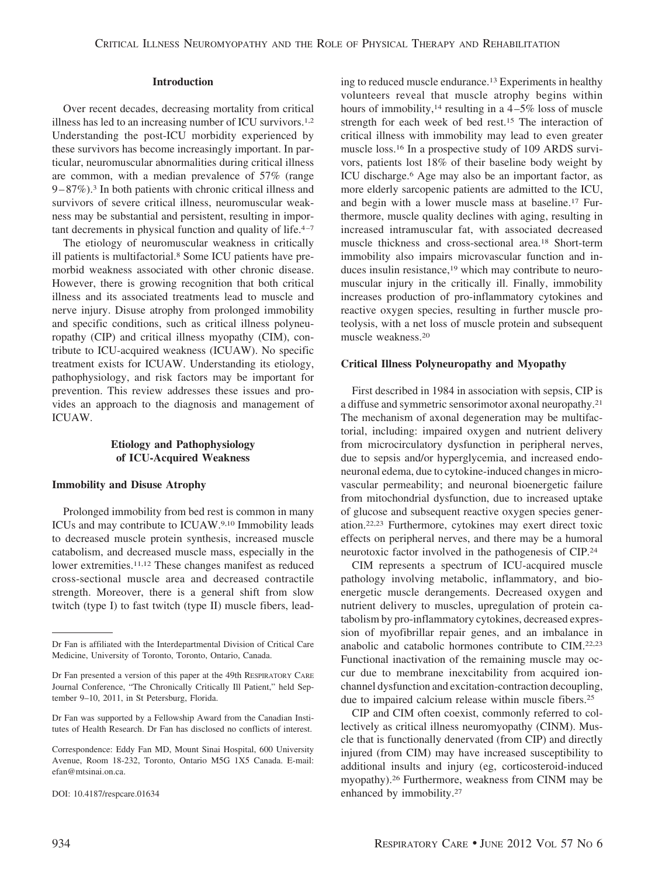### **Introduction**

Over recent decades, decreasing mortality from critical illness has led to an increasing number of ICU survivors.<sup>1,2</sup> Understanding the post-ICU morbidity experienced by these survivors has become increasingly important. In particular, neuromuscular abnormalities during critical illness are common, with a median prevalence of 57% (range 9 – 87%).3 In both patients with chronic critical illness and survivors of severe critical illness, neuromuscular weakness may be substantial and persistent, resulting in important decrements in physical function and quality of life. $4-7$ 

The etiology of neuromuscular weakness in critically ill patients is multifactorial.8 Some ICU patients have premorbid weakness associated with other chronic disease. However, there is growing recognition that both critical illness and its associated treatments lead to muscle and nerve injury. Disuse atrophy from prolonged immobility and specific conditions, such as critical illness polyneuropathy (CIP) and critical illness myopathy (CIM), contribute to ICU-acquired weakness (ICUAW). No specific treatment exists for ICUAW. Understanding its etiology, pathophysiology, and risk factors may be important for prevention. This review addresses these issues and provides an approach to the diagnosis and management of ICUAW.

# **Etiology and Pathophysiology of ICU-Acquired Weakness**

### **Immobility and Disuse Atrophy**

Prolonged immobility from bed rest is common in many ICUs and may contribute to ICUAW.9,10 Immobility leads to decreased muscle protein synthesis, increased muscle catabolism, and decreased muscle mass, especially in the lower extremities.<sup>11,12</sup> These changes manifest as reduced cross-sectional muscle area and decreased contractile strength. Moreover, there is a general shift from slow twitch (type I) to fast twitch (type II) muscle fibers, lead-

DOI: 10.4187/respcare.01634

ing to reduced muscle endurance.13 Experiments in healthy volunteers reveal that muscle atrophy begins within hours of immobility,<sup>14</sup> resulting in a 4–5% loss of muscle strength for each week of bed rest.15 The interaction of critical illness with immobility may lead to even greater muscle loss.16 In a prospective study of 109 ARDS survivors, patients lost 18% of their baseline body weight by ICU discharge.6 Age may also be an important factor, as more elderly sarcopenic patients are admitted to the ICU, and begin with a lower muscle mass at baseline.17 Furthermore, muscle quality declines with aging, resulting in increased intramuscular fat, with associated decreased muscle thickness and cross-sectional area.18 Short-term immobility also impairs microvascular function and induces insulin resistance,<sup>19</sup> which may contribute to neuromuscular injury in the critically ill. Finally, immobility increases production of pro-inflammatory cytokines and reactive oxygen species, resulting in further muscle proteolysis, with a net loss of muscle protein and subsequent muscle weakness.20

#### **Critical Illness Polyneuropathy and Myopathy**

First described in 1984 in association with sepsis, CIP is a diffuse and symmetric sensorimotor axonal neuropathy.21 The mechanism of axonal degeneration may be multifactorial, including: impaired oxygen and nutrient delivery from microcirculatory dysfunction in peripheral nerves, due to sepsis and/or hyperglycemia, and increased endoneuronal edema, due to cytokine-induced changes in microvascular permeability; and neuronal bioenergetic failure from mitochondrial dysfunction, due to increased uptake of glucose and subsequent reactive oxygen species generation.22,23 Furthermore, cytokines may exert direct toxic effects on peripheral nerves, and there may be a humoral neurotoxic factor involved in the pathogenesis of CIP.24

CIM represents a spectrum of ICU-acquired muscle pathology involving metabolic, inflammatory, and bioenergetic muscle derangements. Decreased oxygen and nutrient delivery to muscles, upregulation of protein catabolism by pro-inflammatory cytokines, decreased expression of myofibrillar repair genes, and an imbalance in anabolic and catabolic hormones contribute to CIM.22,23 Functional inactivation of the remaining muscle may occur due to membrane inexcitability from acquired ionchannel dysfunction and excitation-contraction decoupling, due to impaired calcium release within muscle fibers.25

CIP and CIM often coexist, commonly referred to collectively as critical illness neuromyopathy (CINM). Muscle that is functionally denervated (from CIP) and directly injured (from CIM) may have increased susceptibility to additional insults and injury (eg, corticosteroid-induced myopathy).26 Furthermore, weakness from CINM may be enhanced by immobility.<sup>27</sup>

Dr Fan is affiliated with the Interdepartmental Division of Critical Care Medicine, University of Toronto, Toronto, Ontario, Canada.

Dr Fan presented a version of this paper at the 49th RESPIRATORY CARE Journal Conference, "The Chronically Critically Ill Patient," held September 9–10, 2011, in St Petersburg, Florida.

Dr Fan was supported by a Fellowship Award from the Canadian Institutes of Health Research. Dr Fan has disclosed no conflicts of interest.

Correspondence: Eddy Fan MD, Mount Sinai Hospital, 600 University Avenue, Room 18-232, Toronto, Ontario M5G 1X5 Canada. E-mail: efan@mtsinai.on.ca.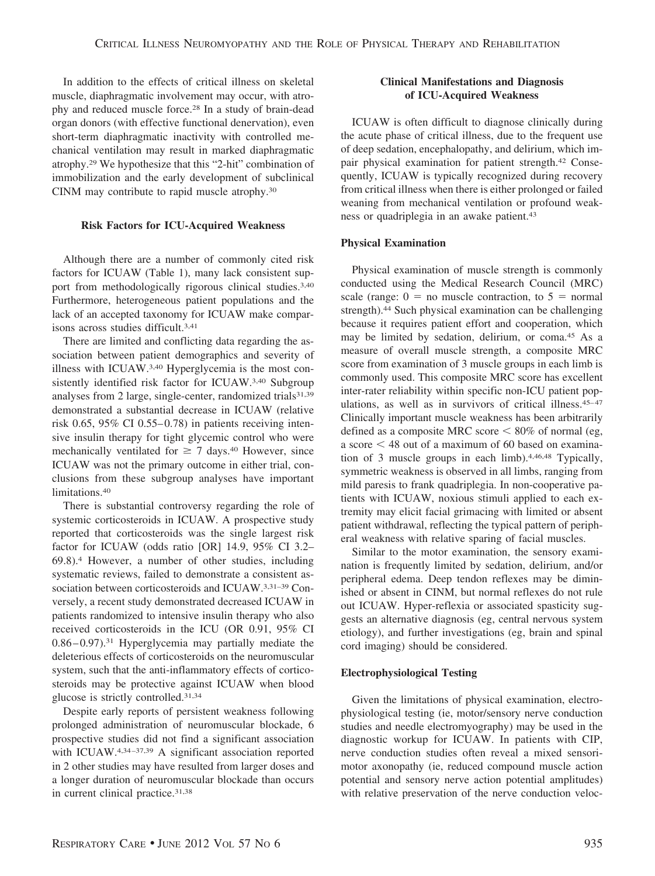In addition to the effects of critical illness on skeletal muscle, diaphragmatic involvement may occur, with atrophy and reduced muscle force.28 In a study of brain-dead organ donors (with effective functional denervation), even short-term diaphragmatic inactivity with controlled mechanical ventilation may result in marked diaphragmatic atrophy.29 We hypothesize that this "2-hit" combination of immobilization and the early development of subclinical CINM may contribute to rapid muscle atrophy.30

## **Risk Factors for ICU-Acquired Weakness**

Although there are a number of commonly cited risk factors for ICUAW (Table 1), many lack consistent support from methodologically rigorous clinical studies.<sup>3,40</sup> Furthermore, heterogeneous patient populations and the lack of an accepted taxonomy for ICUAW make comparisons across studies difficult.3,41

There are limited and conflicting data regarding the association between patient demographics and severity of illness with ICUAW.3,40 Hyperglycemia is the most consistently identified risk factor for ICUAW.3,40 Subgroup analyses from 2 large, single-center, randomized trials<sup>31,39</sup> demonstrated a substantial decrease in ICUAW (relative risk  $0.65$ ,  $95\%$  CI  $0.55-0.78$ ) in patients receiving intensive insulin therapy for tight glycemic control who were mechanically ventilated for  $\geq$  7 days.<sup>40</sup> However, since ICUAW was not the primary outcome in either trial, conclusions from these subgroup analyses have important limitations.40

There is substantial controversy regarding the role of systemic corticosteroids in ICUAW. A prospective study reported that corticosteroids was the single largest risk factor for ICUAW (odds ratio [OR] 14.9, 95% CI 3.2– 69.8).4 However, a number of other studies, including systematic reviews, failed to demonstrate a consistent association between corticosteroids and ICUAW.3,31–39 Conversely, a recent study demonstrated decreased ICUAW in patients randomized to intensive insulin therapy who also received corticosteroids in the ICU (OR 0.91, 95% CI  $0.86 - 0.97$ .<sup>31</sup> Hyperglycemia may partially mediate the deleterious effects of corticosteroids on the neuromuscular system, such that the anti-inflammatory effects of corticosteroids may be protective against ICUAW when blood glucose is strictly controlled.31,34

Despite early reports of persistent weakness following prolonged administration of neuromuscular blockade, 6 prospective studies did not find a significant association with ICUAW.<sup>4,34-37,39</sup> A significant association reported in 2 other studies may have resulted from larger doses and a longer duration of neuromuscular blockade than occurs in current clinical practice.<sup>31,38</sup>

# **Clinical Manifestations and Diagnosis of ICU-Acquired Weakness**

ICUAW is often difficult to diagnose clinically during the acute phase of critical illness, due to the frequent use of deep sedation, encephalopathy, and delirium, which impair physical examination for patient strength.42 Consequently, ICUAW is typically recognized during recovery from critical illness when there is either prolonged or failed weaning from mechanical ventilation or profound weakness or quadriplegia in an awake patient.43

## **Physical Examination**

Physical examination of muscle strength is commonly conducted using the Medical Research Council (MRC) scale (range:  $0 =$  no muscle contraction, to  $5 =$  normal strength).<sup>44</sup> Such physical examination can be challenging because it requires patient effort and cooperation, which may be limited by sedation, delirium, or coma.45 As a measure of overall muscle strength, a composite MRC score from examination of 3 muscle groups in each limb is commonly used. This composite MRC score has excellent inter-rater reliability within specific non-ICU patient populations, as well as in survivors of critical illness.<sup>45-47</sup> Clinically important muscle weakness has been arbitrarily defined as a composite MRC score  $\leq 80\%$  of normal (eg, a score  $\leq$  48 out of a maximum of 60 based on examination of 3 muscle groups in each limb).4,46,48 Typically, symmetric weakness is observed in all limbs, ranging from mild paresis to frank quadriplegia. In non-cooperative patients with ICUAW, noxious stimuli applied to each extremity may elicit facial grimacing with limited or absent patient withdrawal, reflecting the typical pattern of peripheral weakness with relative sparing of facial muscles.

Similar to the motor examination, the sensory examination is frequently limited by sedation, delirium, and/or peripheral edema. Deep tendon reflexes may be diminished or absent in CINM, but normal reflexes do not rule out ICUAW. Hyper-reflexia or associated spasticity suggests an alternative diagnosis (eg, central nervous system etiology), and further investigations (eg, brain and spinal cord imaging) should be considered.

# **Electrophysiological Testing**

Given the limitations of physical examination, electrophysiological testing (ie, motor/sensory nerve conduction studies and needle electromyography) may be used in the diagnostic workup for ICUAW. In patients with CIP, nerve conduction studies often reveal a mixed sensorimotor axonopathy (ie, reduced compound muscle action potential and sensory nerve action potential amplitudes) with relative preservation of the nerve conduction veloc-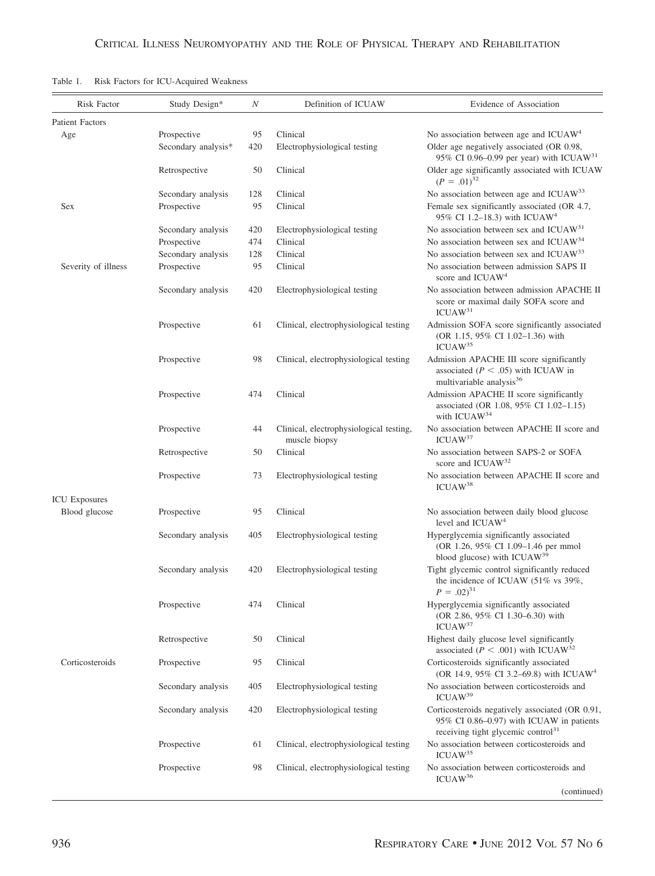| Table 1. |  | Risk Factors for ICU-Acquired Weakness |  |
|----------|--|----------------------------------------|--|
|----------|--|----------------------------------------|--|

| Risk Factor            | Study Design*                      | N         | Definition of ICUAW                                      | Evidence of Association                                                                                                                       |
|------------------------|------------------------------------|-----------|----------------------------------------------------------|-----------------------------------------------------------------------------------------------------------------------------------------------|
| <b>Patient Factors</b> |                                    |           |                                                          |                                                                                                                                               |
| Age                    | Prospective<br>Secondary analysis* | 95<br>420 | Clinical<br>Electrophysiological testing                 | No association between age and ICUAW <sup>4</sup><br>Older age negatively associated (OR 0.98,                                                |
|                        |                                    |           |                                                          | 95% CI 0.96–0.99 per year) with ICUAW <sup>31</sup>                                                                                           |
|                        | Retrospective                      | 50        | Clinical                                                 | Older age significantly associated with ICUAW<br>$(P=.01)^{32}$                                                                               |
|                        | Secondary analysis                 | 128       | Clinical                                                 | No association between age and ICUAW <sup>33</sup>                                                                                            |
| Sex                    | Prospective                        | 95        | Clinical                                                 | Female sex significantly associated (OR 4.7,<br>95% CI 1.2-18.3) with ICUAW <sup>4</sup>                                                      |
|                        | Secondary analysis                 | 420       | Electrophysiological testing                             | No association between sex and ICUAW <sup>31</sup>                                                                                            |
|                        | Prospective                        | 474       | Clinical                                                 | No association between sex and ICUAW <sup>34</sup>                                                                                            |
|                        | Secondary analysis                 | 128       | Clinical                                                 | No association between sex and ICUAW <sup>33</sup>                                                                                            |
| Severity of illness    | Prospective                        | 95        | Clinical                                                 | No association between admission SAPS II<br>score and ICUAW <sup>4</sup>                                                                      |
|                        | Secondary analysis                 | 420       | Electrophysiological testing                             | No association between admission APACHE II<br>score or maximal daily SOFA score and<br>ICUAW <sup>31</sup>                                    |
|                        | Prospective                        | 61        | Clinical, electrophysiological testing                   | Admission SOFA score significantly associated<br>(OR 1.15, 95% CI 1.02–1.36) with<br>ICUAW <sup>35</sup>                                      |
|                        | Prospective                        | 98        | Clinical, electrophysiological testing                   | Admission APACHE III score significantly<br>associated ( $P < .05$ ) with ICUAW in<br>multivariable analysis <sup>36</sup>                    |
|                        | Prospective                        | 474       | Clinical                                                 | Admission APACHE II score significantly<br>associated (OR 1.08, 95% CI 1.02-1.15)<br>with $ICUAW^{34}$                                        |
|                        | Prospective                        | 44        | Clinical, electrophysiological testing,<br>muscle biopsy | No association between APACHE II score and<br>ICUAW <sup>37</sup>                                                                             |
|                        | Retrospective                      | 50        | Clinical                                                 | No association between SAPS-2 or SOFA<br>score and ICUAW <sup>32</sup>                                                                        |
|                        | Prospective                        | 73        | Electrophysiological testing                             | No association between APACHE II score and<br>ICUAW <sup>38</sup>                                                                             |
| <b>ICU</b> Exposures   |                                    |           |                                                          |                                                                                                                                               |
| Blood glucose          | Prospective                        | 95        | Clinical                                                 | No association between daily blood glucose<br>level and ICUAW <sup>4</sup>                                                                    |
|                        | Secondary analysis                 | 405       | Electrophysiological testing                             | Hyperglycemia significantly associated<br>(OR 1.26, 95% CI 1.09-1.46 per mmol<br>blood glucose) with ICUAW <sup>39</sup>                      |
|                        | Secondary analysis                 | 420       | Electrophysiological testing                             | Tight glycemic control significantly reduced<br>the incidence of ICUAW (51% vs 39%,<br>$P = .02)^{31}$                                        |
|                        | Prospective                        | 474       | Clinical                                                 | Hyperglycemia significantly associated<br>(OR 2.86, 95% CI 1.30-6.30) with<br>ICUAW <sup>37</sup>                                             |
|                        | Retrospective                      | 50        | Clinical                                                 | Highest daily glucose level significantly<br>associated ( $P < .001$ ) with ICUAW <sup>32</sup>                                               |
| Corticosteroids        | Prospective                        | 95        | Clinical                                                 | Corticosteroids significantly associated<br>(OR 14.9, 95% CI 3.2-69.8) with ICUAW <sup>4</sup>                                                |
|                        | Secondary analysis                 | 405       | Electrophysiological testing                             | No association between corticosteroids and<br>$ICUAW^{39}$                                                                                    |
|                        | Secondary analysis                 | 420       | Electrophysiological testing                             | Corticosteroids negatively associated (OR 0.91,<br>95% CI 0.86-0.97) with ICUAW in patients<br>receiving tight glycemic control <sup>31</sup> |
|                        | Prospective                        | 61        | Clinical, electrophysiological testing                   | No association between corticosteroids and<br>ICUAW <sup>35</sup>                                                                             |
|                        | Prospective                        | 98        | Clinical, electrophysiological testing                   | No association between corticosteroids and<br>ICUAW <sup>36</sup>                                                                             |
|                        |                                    |           |                                                          | (continued)                                                                                                                                   |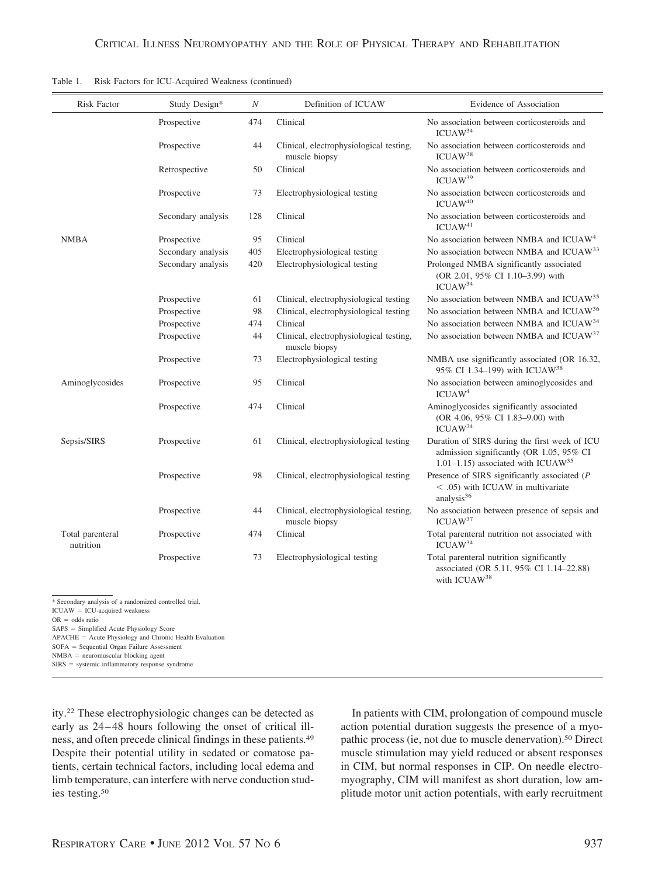Table 1. Risk Factors for ICU-Acquired Weakness (continued)

| <b>Risk Factor</b>                                     | Study Design*      | N   | Definition of ICUAW                                      | Evidence of Association                                                                                                               |
|--------------------------------------------------------|--------------------|-----|----------------------------------------------------------|---------------------------------------------------------------------------------------------------------------------------------------|
|                                                        | Prospective        | 474 | Clinical                                                 | No association between corticosteroids and<br>ICUAW <sup>34</sup>                                                                     |
|                                                        | Prospective        | 44  | Clinical, electrophysiological testing,<br>muscle biopsy | No association between corticosteroids and<br>$ICUAW^{38}$                                                                            |
|                                                        | Retrospective      | 50  | Clinical                                                 | No association between corticosteroids and<br>ICUAW <sup>39</sup>                                                                     |
|                                                        | Prospective        | 73  | Electrophysiological testing                             | No association between corticosteroids and<br>$ICUAW^{40}$                                                                            |
|                                                        | Secondary analysis | 128 | Clinical                                                 | No association between corticosteroids and<br>ICUAW <sup>41</sup>                                                                     |
| <b>NMBA</b>                                            | Prospective        | 95  | Clinical                                                 | No association between NMBA and ICUAW <sup>4</sup>                                                                                    |
|                                                        | Secondary analysis | 405 | Electrophysiological testing                             | No association between NMBA and ICUAW <sup>33</sup>                                                                                   |
|                                                        | Secondary analysis | 420 | Electrophysiological testing                             | Prolonged NMBA significantly associated<br>(OR 2.01, 95% CI 1.10-3.99) with<br>ICUAW <sup>34</sup>                                    |
|                                                        | Prospective        | 61  | Clinical, electrophysiological testing                   | No association between NMBA and ICUAW <sup>35</sup>                                                                                   |
|                                                        | Prospective        | 98  | Clinical, electrophysiological testing                   | No association between NMBA and ICUAW <sup>36</sup>                                                                                   |
|                                                        | Prospective        | 474 | Clinical                                                 | No association between NMBA and ICUAW <sup>34</sup>                                                                                   |
|                                                        | Prospective        | 44  | Clinical, electrophysiological testing,<br>muscle biopsy | No association between NMBA and ICUAW <sup>37</sup>                                                                                   |
|                                                        | Prospective        | 73  | Electrophysiological testing                             | NMBA use significantly associated (OR 16.32,<br>95% CI 1.34-199) with ICUAW <sup>38</sup>                                             |
| Aminoglycosides                                        | Prospective        | 95  | Clinical                                                 | No association between aminoglycosides and<br>ICUAW <sup>4</sup>                                                                      |
|                                                        | Prospective        | 474 | Clinical                                                 | Aminoglycosides significantly associated<br>(OR 4.06, 95% CI 1.83-9.00) with<br>$ICUAW^{34}$                                          |
| Sepsis/SIRS                                            | Prospective        | 61  | Clinical, electrophysiological testing                   | Duration of SIRS during the first week of ICU<br>admission significantly (OR 1.05, 95% CI<br>1.01–1.15) associated with ICUA $W^{35}$ |
|                                                        | Prospective        | 98  | Clinical, electrophysiological testing                   | Presence of SIRS significantly associated $(P)$<br>$<$ .05) with ICUAW in multivariate<br>analysis <sup>36</sup>                      |
|                                                        | Prospective        | 44  | Clinical, electrophysiological testing,<br>muscle biopsy | No association between presence of sepsis and<br>ICUAW <sup>37</sup>                                                                  |
| Total parenteral<br>nutrition                          | Prospective        | 474 | Clinical                                                 | Total parenteral nutrition not associated with<br>$ICUAW^{34}$                                                                        |
|                                                        | Prospective        | 73  | Electrophysiological testing                             | Total parenteral nutrition significantly<br>associated (OR 5.11, 95% CI 1.14-22.88)<br>with ICUAW <sup>38</sup>                       |
| * Secondary analysis of a randomized controlled trial. |                    |     |                                                          |                                                                                                                                       |

ICUAW = ICU-acquired weakness

SOFA = Sequential Organ Failure Assessment

 $NMBA =$  neuromuscular blocking agent

 $SIRS = systematic inflammatory response syndrome$ 

ity.22 These electrophysiologic changes can be detected as early as 24 – 48 hours following the onset of critical illness, and often precede clinical findings in these patients.49 Despite their potential utility in sedated or comatose patients, certain technical factors, including local edema and limb temperature, can interfere with nerve conduction studies testing.50

In patients with CIM, prolongation of compound muscle action potential duration suggests the presence of a myopathic process (ie, not due to muscle denervation).50 Direct muscle stimulation may yield reduced or absent responses in CIM, but normal responses in CIP. On needle electromyography, CIM will manifest as short duration, low amplitude motor unit action potentials, with early recruitment

 $OR = odds ratio$ 

SAPS = Simplified Acute Physiology Score

 $APACLE = Acute Physics$  and Chronic Health Evaluation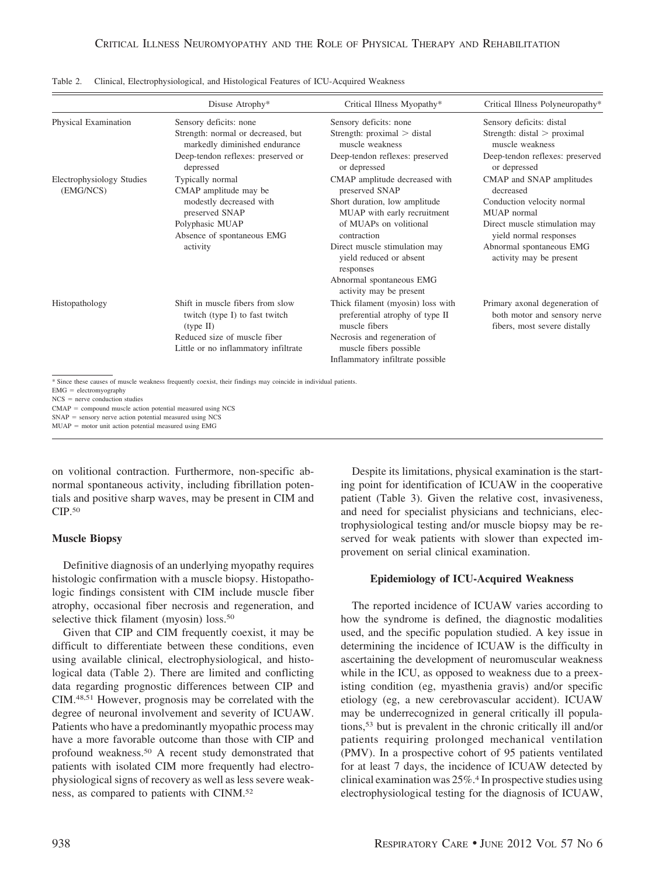|                                        | Disuse Atrophy*                                                                               | Critical Illness Myopathy*                                                                            | Critical Illness Polyneuropathy*                                                               |
|----------------------------------------|-----------------------------------------------------------------------------------------------|-------------------------------------------------------------------------------------------------------|------------------------------------------------------------------------------------------------|
| Physical Examination                   | Sensory deficits: none<br>Strength: normal or decreased, but<br>markedly diminished endurance | Sensory deficits: none<br>Strength: $proximal > distal$<br>muscle weakness                            | Sensory deficits: distal<br>Strength: $distal > proximal$<br>muscle weakness                   |
|                                        | Deep-tendon reflexes: preserved or<br>depressed                                               | Deep-tendon reflexes: preserved<br>or depressed                                                       | Deep-tendon reflexes: preserved<br>or depressed                                                |
| Electrophysiology Studies<br>(EMG/NCS) | Typically normal<br>CMAP amplitude may be                                                     | CMAP amplitude decreased with<br>preserved SNAP                                                       | CMAP and SNAP amplitudes<br>decreased                                                          |
|                                        | modestly decreased with<br>preserved SNAP                                                     | Short duration, low amplitude<br>MUAP with early recruitment<br>of MUAPs on volitional<br>contraction | Conduction velocity normal<br>MUAP normal                                                      |
|                                        | Polyphasic MUAP<br>Absence of spontaneous EMG                                                 |                                                                                                       | Direct muscle stimulation may<br>yield normal responses                                        |
|                                        | activity                                                                                      | Direct muscle stimulation may<br>yield reduced or absent<br>responses                                 | Abnormal spontaneous EMG<br>activity may be present                                            |
|                                        |                                                                                               | Abnormal spontaneous EMG<br>activity may be present                                                   |                                                                                                |
| Histopathology                         | Shift in muscle fibers from slow<br>twitch (type I) to fast twitch<br>(type II)               | Thick filament (myosin) loss with<br>preferential atrophy of type II<br>muscle fibers                 | Primary axonal degeneration of<br>both motor and sensory nerve<br>fibers, most severe distally |
|                                        | Reduced size of muscle fiber<br>Little or no inflammatory infiltrate                          | Necrosis and regeneration of<br>muscle fibers possible<br>Inflammatory infiltrate possible            |                                                                                                |

Table 2. Clinical, Electrophysiological, and Histological Features of ICU-Acquired Weakness

\* Since these causes of muscle weakness frequently coexist, their findings may coincide in individual patients.

 $EMG =$  electromyography

 $NCS$  = nerve conduction studies

 $CMAP =$  compound muscle action potential measured using NCS

 $SNAP =$  sensory nerve action potential measured using NCS

MUAP = motor unit action potential measured using EMG

on volitional contraction. Furthermore, non-specific abnormal spontaneous activity, including fibrillation potentials and positive sharp waves, may be present in CIM and CIP.50

# **Muscle Biopsy**

Definitive diagnosis of an underlying myopathy requires histologic confirmation with a muscle biopsy. Histopathologic findings consistent with CIM include muscle fiber atrophy, occasional fiber necrosis and regeneration, and selective thick filament (myosin) loss.<sup>50</sup>

Given that CIP and CIM frequently coexist, it may be difficult to differentiate between these conditions, even using available clinical, electrophysiological, and histological data (Table 2). There are limited and conflicting data regarding prognostic differences between CIP and CIM.48,51 However, prognosis may be correlated with the degree of neuronal involvement and severity of ICUAW. Patients who have a predominantly myopathic process may have a more favorable outcome than those with CIP and profound weakness.50 A recent study demonstrated that patients with isolated CIM more frequently had electrophysiological signs of recovery as well as less severe weakness, as compared to patients with CINM.52

Despite its limitations, physical examination is the starting point for identification of ICUAW in the cooperative patient (Table 3). Given the relative cost, invasiveness, and need for specialist physicians and technicians, electrophysiological testing and/or muscle biopsy may be reserved for weak patients with slower than expected improvement on serial clinical examination.

# **Epidemiology of ICU-Acquired Weakness**

The reported incidence of ICUAW varies according to how the syndrome is defined, the diagnostic modalities used, and the specific population studied. A key issue in determining the incidence of ICUAW is the difficulty in ascertaining the development of neuromuscular weakness while in the ICU, as opposed to weakness due to a preexisting condition (eg, myasthenia gravis) and/or specific etiology (eg, a new cerebrovascular accident). ICUAW may be underrecognized in general critically ill populations,53 but is prevalent in the chronic critically ill and/or patients requiring prolonged mechanical ventilation (PMV). In a prospective cohort of 95 patients ventilated for at least 7 days, the incidence of ICUAW detected by clinical examination was 25%.4 In prospective studies using electrophysiological testing for the diagnosis of ICUAW,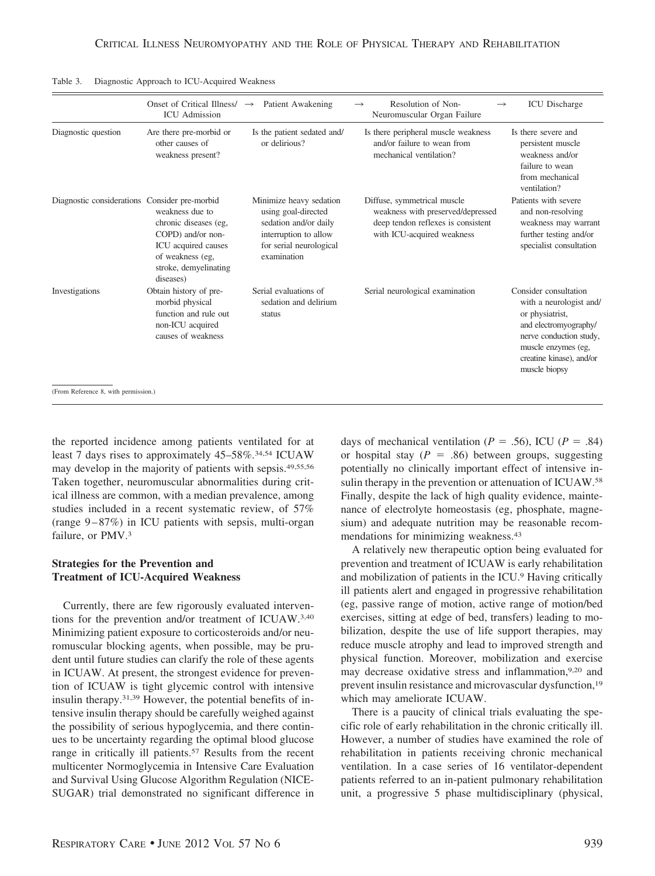| Table 3. |  |  | Diagnostic Approach to ICU-Acquired Weakness |  |
|----------|--|--|----------------------------------------------|--|
|----------|--|--|----------------------------------------------|--|

|                                                        | Onset of Critical Illness/ $\rightarrow$<br><b>ICU</b> Admission                                                                               | Patient Awakening                                                                                                                          | Resolution of Non-<br>$\rightarrow$<br>$\rightarrow$<br>Neuromuscular Organ Failure                                                  | <b>ICU</b> Discharge                                                                                                                                                                        |
|--------------------------------------------------------|------------------------------------------------------------------------------------------------------------------------------------------------|--------------------------------------------------------------------------------------------------------------------------------------------|--------------------------------------------------------------------------------------------------------------------------------------|---------------------------------------------------------------------------------------------------------------------------------------------------------------------------------------------|
| Diagnostic question                                    | Are there pre-morbid or<br>other causes of<br>weakness present?                                                                                | Is the patient sedated and/<br>or delirious?                                                                                               | Is there peripheral muscle weakness<br>and/or failure to wean from<br>mechanical ventilation?                                        | Is there severe and<br>persistent muscle<br>weakness and/or<br>failure to wean<br>from mechanical<br>ventilation?                                                                           |
| Diagnostic considerations Consider pre-morbid          | weakness due to<br>chronic diseases (eg,<br>COPD) and/or non-<br>ICU acquired causes<br>of weakness (eg,<br>stroke, demyelinating<br>diseases) | Minimize heavy sedation<br>using goal-directed<br>sedation and/or daily<br>interruption to allow<br>for serial neurological<br>examination | Diffuse, symmetrical muscle<br>weakness with preserved/depressed<br>deep tendon reflexes is consistent<br>with ICU-acquired weakness | Patients with severe<br>and non-resolving<br>weakness may warrant<br>further testing and/or<br>specialist consultation                                                                      |
| Investigations<br>(From Reference 8, with permission.) | Obtain history of pre-<br>morbid physical<br>function and rule out<br>non-ICU acquired<br>causes of weakness                                   | Serial evaluations of<br>sedation and delirium<br>status                                                                                   | Serial neurological examination                                                                                                      | Consider consultation<br>with a neurologist and/<br>or physiatrist,<br>and electromyography/<br>nerve conduction study,<br>muscle enzymes (eg,<br>creatine kinase), and/or<br>muscle biopsy |

the reported incidence among patients ventilated for at least 7 days rises to approximately 45–58%.34,54 ICUAW may develop in the majority of patients with sepsis.49,55,56 Taken together, neuromuscular abnormalities during critical illness are common, with a median prevalence, among studies included in a recent systematic review, of 57% (range 9-87%) in ICU patients with sepsis, multi-organ failure, or PMV.<sup>3</sup>

## **Strategies for the Prevention and Treatment of ICU-Acquired Weakness**

Currently, there are few rigorously evaluated interventions for the prevention and/or treatment of ICUAW.3,40 Minimizing patient exposure to corticosteroids and/or neuromuscular blocking agents, when possible, may be prudent until future studies can clarify the role of these agents in ICUAW. At present, the strongest evidence for prevention of ICUAW is tight glycemic control with intensive insulin therapy.31,39 However, the potential benefits of intensive insulin therapy should be carefully weighed against the possibility of serious hypoglycemia, and there continues to be uncertainty regarding the optimal blood glucose range in critically ill patients.57 Results from the recent multicenter Normoglycemia in Intensive Care Evaluation and Survival Using Glucose Algorithm Regulation (NICE-SUGAR) trial demonstrated no significant difference in

days of mechanical ventilation ( $P = .56$ ), ICU ( $P = .84$ ) or hospital stay  $(P = .86)$  between groups, suggesting potentially no clinically important effect of intensive insulin therapy in the prevention or attenuation of ICUAW.58 Finally, despite the lack of high quality evidence, maintenance of electrolyte homeostasis (eg, phosphate, magnesium) and adequate nutrition may be reasonable recommendations for minimizing weakness.43

A relatively new therapeutic option being evaluated for prevention and treatment of ICUAW is early rehabilitation and mobilization of patients in the ICU.9 Having critically ill patients alert and engaged in progressive rehabilitation (eg, passive range of motion, active range of motion/bed exercises, sitting at edge of bed, transfers) leading to mobilization, despite the use of life support therapies, may reduce muscle atrophy and lead to improved strength and physical function. Moreover, mobilization and exercise may decrease oxidative stress and inflammation,9,20 and prevent insulin resistance and microvascular dysfunction,<sup>19</sup> which may ameliorate ICUAW.

There is a paucity of clinical trials evaluating the specific role of early rehabilitation in the chronic critically ill. However, a number of studies have examined the role of rehabilitation in patients receiving chronic mechanical ventilation. In a case series of 16 ventilator-dependent patients referred to an in-patient pulmonary rehabilitation unit, a progressive 5 phase multidisciplinary (physical,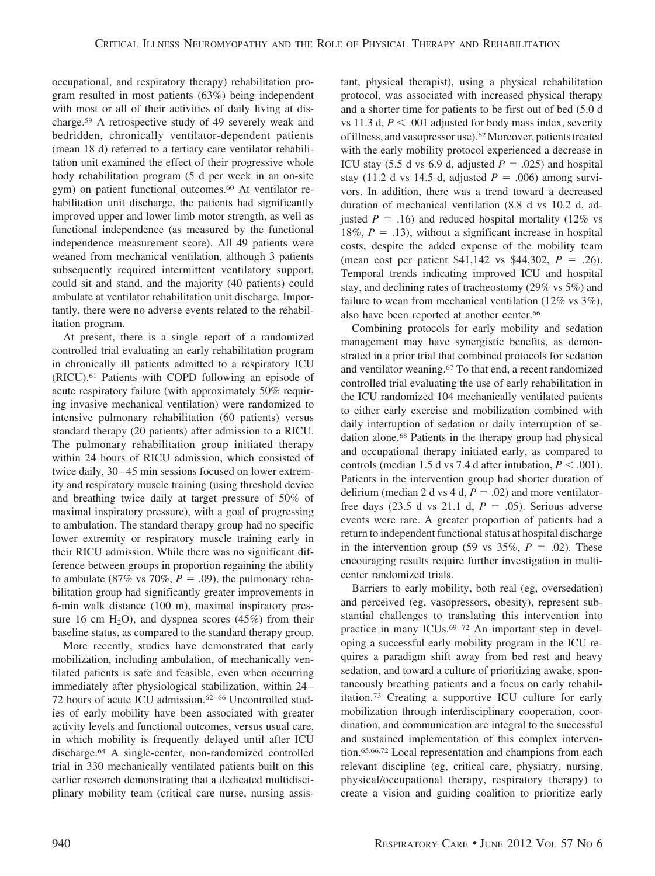occupational, and respiratory therapy) rehabilitation program resulted in most patients (63%) being independent with most or all of their activities of daily living at discharge.59 A retrospective study of 49 severely weak and bedridden, chronically ventilator-dependent patients (mean 18 d) referred to a tertiary care ventilator rehabilitation unit examined the effect of their progressive whole body rehabilitation program (5 d per week in an on-site gym) on patient functional outcomes.<sup>60</sup> At ventilator rehabilitation unit discharge, the patients had significantly improved upper and lower limb motor strength, as well as functional independence (as measured by the functional independence measurement score). All 49 patients were weaned from mechanical ventilation, although 3 patients subsequently required intermittent ventilatory support, could sit and stand, and the majority (40 patients) could ambulate at ventilator rehabilitation unit discharge. Importantly, there were no adverse events related to the rehabilitation program.

At present, there is a single report of a randomized controlled trial evaluating an early rehabilitation program in chronically ill patients admitted to a respiratory ICU (RICU).61 Patients with COPD following an episode of acute respiratory failure (with approximately 50% requiring invasive mechanical ventilation) were randomized to intensive pulmonary rehabilitation (60 patients) versus standard therapy (20 patients) after admission to a RICU. The pulmonary rehabilitation group initiated therapy within 24 hours of RICU admission, which consisted of twice daily, 30–45 min sessions focused on lower extremity and respiratory muscle training (using threshold device and breathing twice daily at target pressure of 50% of maximal inspiratory pressure), with a goal of progressing to ambulation. The standard therapy group had no specific lower extremity or respiratory muscle training early in their RICU admission. While there was no significant difference between groups in proportion regaining the ability to ambulate (87% vs 70%,  $P = .09$ ), the pulmonary rehabilitation group had significantly greater improvements in 6-min walk distance (100 m), maximal inspiratory pressure 16 cm  $H_2O$ , and dyspnea scores (45%) from their baseline status, as compared to the standard therapy group.

More recently, studies have demonstrated that early mobilization, including ambulation, of mechanically ventilated patients is safe and feasible, even when occurring immediately after physiological stabilization, within 24 – 72 hours of acute ICU admission.<sup>62-66</sup> Uncontrolled studies of early mobility have been associated with greater activity levels and functional outcomes, versus usual care, in which mobility is frequently delayed until after ICU discharge.64 A single-center, non-randomized controlled trial in 330 mechanically ventilated patients built on this earlier research demonstrating that a dedicated multidisciplinary mobility team (critical care nurse, nursing assistant, physical therapist), using a physical rehabilitation protocol, was associated with increased physical therapy and a shorter time for patients to be first out of bed (5.0 d vs 11.3 d,  $P < .001$  adjusted for body mass index, severity of illness, and vasopressor use).<sup>62</sup> Moreover, patients treated with the early mobility protocol experienced a decrease in ICU stay (5.5 d vs 6.9 d, adjusted  $P = .025$ ) and hospital stay (11.2 d vs 14.5 d, adjusted  $P = .006$ ) among survivors. In addition, there was a trend toward a decreased duration of mechanical ventilation (8.8 d vs 10.2 d, adjusted  $P = .16$ ) and reduced hospital mortality (12% vs 18%,  $P = .13$ ), without a significant increase in hospital costs, despite the added expense of the mobility team (mean cost per patient \$41,142 vs \$44,302,  $P = .26$ ). Temporal trends indicating improved ICU and hospital stay, and declining rates of tracheostomy (29% vs 5%) and failure to wean from mechanical ventilation (12% vs 3%), also have been reported at another center.<sup>66</sup>

Combining protocols for early mobility and sedation management may have synergistic benefits, as demonstrated in a prior trial that combined protocols for sedation and ventilator weaning.67 To that end, a recent randomized controlled trial evaluating the use of early rehabilitation in the ICU randomized 104 mechanically ventilated patients to either early exercise and mobilization combined with daily interruption of sedation or daily interruption of sedation alone.68 Patients in the therapy group had physical and occupational therapy initiated early, as compared to controls (median 1.5 d vs 7.4 d after intubation,  $P < .001$ ). Patients in the intervention group had shorter duration of delirium (median 2 d vs 4 d,  $P = .02$ ) and more ventilatorfree days (23.5 d vs 21.1 d,  $P = .05$ ). Serious adverse events were rare. A greater proportion of patients had a return to independent functional status at hospital discharge in the intervention group (59 vs  $35\%$ ,  $P = .02$ ). These encouraging results require further investigation in multicenter randomized trials.

Barriers to early mobility, both real (eg, oversedation) and perceived (eg, vasopressors, obesity), represent substantial challenges to translating this intervention into practice in many ICUs.<sup>69-72</sup> An important step in developing a successful early mobility program in the ICU requires a paradigm shift away from bed rest and heavy sedation, and toward a culture of prioritizing awake, spontaneously breathing patients and a focus on early rehabilitation.73 Creating a supportive ICU culture for early mobilization through interdisciplinary cooperation, coordination, and communication are integral to the successful and sustained implementation of this complex intervention.65,66,72 Local representation and champions from each relevant discipline (eg, critical care, physiatry, nursing, physical/occupational therapy, respiratory therapy) to create a vision and guiding coalition to prioritize early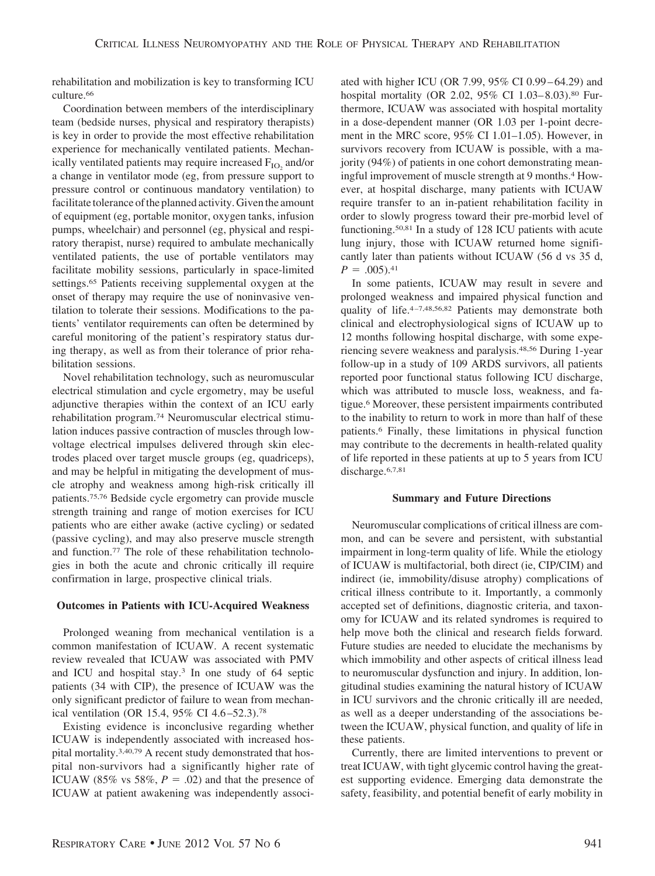rehabilitation and mobilization is key to transforming ICU culture.<sup>66</sup>

Coordination between members of the interdisciplinary team (bedside nurses, physical and respiratory therapists) is key in order to provide the most effective rehabilitation experience for mechanically ventilated patients. Mechanically ventilated patients may require increased  $F_{IO}$  and/or a change in ventilator mode (eg, from pressure support to pressure control or continuous mandatory ventilation) to facilitate tolerance of the planned activity. Given the amount of equipment (eg, portable monitor, oxygen tanks, infusion pumps, wheelchair) and personnel (eg, physical and respiratory therapist, nurse) required to ambulate mechanically ventilated patients, the use of portable ventilators may facilitate mobility sessions, particularly in space-limited settings.<sup>65</sup> Patients receiving supplemental oxygen at the onset of therapy may require the use of noninvasive ventilation to tolerate their sessions. Modifications to the patients' ventilator requirements can often be determined by careful monitoring of the patient's respiratory status during therapy, as well as from their tolerance of prior rehabilitation sessions.

Novel rehabilitation technology, such as neuromuscular electrical stimulation and cycle ergometry, may be useful adjunctive therapies within the context of an ICU early rehabilitation program.74 Neuromuscular electrical stimulation induces passive contraction of muscles through lowvoltage electrical impulses delivered through skin electrodes placed over target muscle groups (eg, quadriceps), and may be helpful in mitigating the development of muscle atrophy and weakness among high-risk critically ill patients.75,76 Bedside cycle ergometry can provide muscle strength training and range of motion exercises for ICU patients who are either awake (active cycling) or sedated (passive cycling), and may also preserve muscle strength and function.77 The role of these rehabilitation technologies in both the acute and chronic critically ill require confirmation in large, prospective clinical trials.

## **Outcomes in Patients with ICU-Acquired Weakness**

Prolonged weaning from mechanical ventilation is a common manifestation of ICUAW. A recent systematic review revealed that ICUAW was associated with PMV and ICU and hospital stay.3 In one study of 64 septic patients (34 with CIP), the presence of ICUAW was the only significant predictor of failure to wean from mechanical ventilation (OR 15.4, 95% CI 4.6 –52.3).78

Existing evidence is inconclusive regarding whether ICUAW is independently associated with increased hospital mortality.3,40,79 A recent study demonstrated that hospital non-survivors had a significantly higher rate of ICUAW (85% vs 58%,  $P = .02$ ) and that the presence of ICUAW at patient awakening was independently associated with higher ICU (OR 7.99, 95% CI 0.99 – 64.29) and hospital mortality (OR 2.02, 95% CI 1.03-8.03).<sup>80</sup> Furthermore, ICUAW was associated with hospital mortality in a dose-dependent manner (OR 1.03 per 1-point decrement in the MRC score, 95% CI 1.01–1.05). However, in survivors recovery from ICUAW is possible, with a majority (94%) of patients in one cohort demonstrating meaningful improvement of muscle strength at 9 months.<sup>4</sup> However, at hospital discharge, many patients with ICUAW require transfer to an in-patient rehabilitation facility in order to slowly progress toward their pre-morbid level of functioning.50,81 In a study of 128 ICU patients with acute lung injury, those with ICUAW returned home significantly later than patients without ICUAW (56 d vs 35 d,  $P = .005$ .<sup>41</sup>

In some patients, ICUAW may result in severe and prolonged weakness and impaired physical function and quality of life.4 –7,48,56,82 Patients may demonstrate both clinical and electrophysiological signs of ICUAW up to 12 months following hospital discharge, with some experiencing severe weakness and paralysis.48,56 During 1-year follow-up in a study of 109 ARDS survivors, all patients reported poor functional status following ICU discharge, which was attributed to muscle loss, weakness, and fatigue.6 Moreover, these persistent impairments contributed to the inability to return to work in more than half of these patients.6 Finally, these limitations in physical function may contribute to the decrements in health-related quality of life reported in these patients at up to 5 years from ICU discharge.6,7,81

## **Summary and Future Directions**

Neuromuscular complications of critical illness are common, and can be severe and persistent, with substantial impairment in long-term quality of life. While the etiology of ICUAW is multifactorial, both direct (ie, CIP/CIM) and indirect (ie, immobility/disuse atrophy) complications of critical illness contribute to it. Importantly, a commonly accepted set of definitions, diagnostic criteria, and taxonomy for ICUAW and its related syndromes is required to help move both the clinical and research fields forward. Future studies are needed to elucidate the mechanisms by which immobility and other aspects of critical illness lead to neuromuscular dysfunction and injury. In addition, longitudinal studies examining the natural history of ICUAW in ICU survivors and the chronic critically ill are needed, as well as a deeper understanding of the associations between the ICUAW, physical function, and quality of life in these patients.

Currently, there are limited interventions to prevent or treat ICUAW, with tight glycemic control having the greatest supporting evidence. Emerging data demonstrate the safety, feasibility, and potential benefit of early mobility in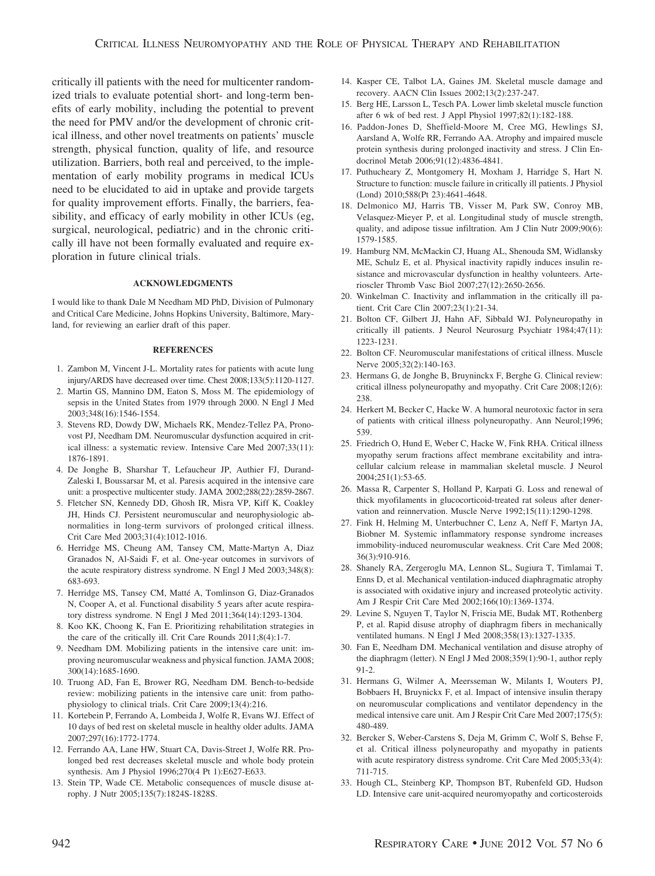critically ill patients with the need for multicenter randomized trials to evaluate potential short- and long-term benefits of early mobility, including the potential to prevent the need for PMV and/or the development of chronic critical illness, and other novel treatments on patients' muscle strength, physical function, quality of life, and resource utilization. Barriers, both real and perceived, to the implementation of early mobility programs in medical ICUs need to be elucidated to aid in uptake and provide targets for quality improvement efforts. Finally, the barriers, feasibility, and efficacy of early mobility in other ICUs (eg, surgical, neurological, pediatric) and in the chronic critically ill have not been formally evaluated and require exploration in future clinical trials.

#### **ACKNOWLEDGMENTS**

I would like to thank Dale M Needham MD PhD, Division of Pulmonary and Critical Care Medicine, Johns Hopkins University, Baltimore, Maryland, for reviewing an earlier draft of this paper.

#### **REFERENCES**

- 1. Zambon M, Vincent J-L. Mortality rates for patients with acute lung injury/ARDS have decreased over time. Chest 2008;133(5):1120-1127.
- 2. Martin GS, Mannino DM, Eaton S, Moss M. The epidemiology of sepsis in the United States from 1979 through 2000. N Engl J Med 2003;348(16):1546-1554.
- 3. Stevens RD, Dowdy DW, Michaels RK, Mendez-Tellez PA, Pronovost PJ, Needham DM. Neuromuscular dysfunction acquired in critical illness: a systematic review. Intensive Care Med 2007;33(11): 1876-1891.
- 4. De Jonghe B, Sharshar T, Lefaucheur JP, Authier FJ, Durand-Zaleski I, Boussarsar M, et al. Paresis acquired in the intensive care unit: a prospective multicenter study. JAMA 2002;288(22):2859-2867.
- 5. Fletcher SN, Kennedy DD, Ghosh IR, Misra VP, Kiff K, Coakley JH, Hinds CJ. Persistent neuromuscular and neurophysiologic abnormalities in long-term survivors of prolonged critical illness. Crit Care Med 2003;31(4):1012-1016.
- 6. Herridge MS, Cheung AM, Tansey CM, Matte-Martyn A, Diaz Granados N, Al-Saidi F, et al. One-year outcomes in survivors of the acute respiratory distress syndrome. N Engl J Med 2003;348(8): 683-693.
- 7. Herridge MS, Tansey CM, Matté A, Tomlinson G, Diaz-Granados N, Cooper A, et al. Functional disability 5 years after acute respiratory distress syndrome. N Engl J Med 2011;364(14):1293-1304.
- 8. Koo KK, Choong K, Fan E. Prioritizing rehabilitation strategies in the care of the critically ill. Crit Care Rounds 2011;8(4):1-7.
- 9. Needham DM. Mobilizing patients in the intensive care unit: improving neuromuscular weakness and physical function. JAMA 2008; 300(14):1685-1690.
- 10. Truong AD, Fan E, Brower RG, Needham DM. Bench-to-bedside review: mobilizing patients in the intensive care unit: from pathophysiology to clinical trials. Crit Care 2009;13(4):216.
- 11. Kortebein P, Ferrando A, Lombeida J, Wolfe R, Evans WJ. Effect of 10 days of bed rest on skeletal muscle in healthy older adults. JAMA 2007;297(16):1772-1774.
- 12. Ferrando AA, Lane HW, Stuart CA, Davis-Street J, Wolfe RR. Prolonged bed rest decreases skeletal muscle and whole body protein synthesis. Am J Physiol 1996;270(4 Pt 1):E627-E633.
- 13. Stein TP, Wade CE. Metabolic consequences of muscle disuse atrophy. J Nutr 2005;135(7):1824S-1828S.
- 14. Kasper CE, Talbot LA, Gaines JM. Skeletal muscle damage and recovery. AACN Clin Issues 2002;13(2):237-247.
- 15. Berg HE, Larsson L, Tesch PA. Lower limb skeletal muscle function after 6 wk of bed rest. J Appl Physiol 1997;82(1):182-188.
- 16. Paddon-Jones D, Sheffield-Moore M, Cree MG, Hewlings SJ, Aarsland A, Wolfe RR, Ferrando AA. Atrophy and impaired muscle protein synthesis during prolonged inactivity and stress. J Clin Endocrinol Metab 2006;91(12):4836-4841.
- 17. Puthucheary Z, Montgomery H, Moxham J, Harridge S, Hart N. Structure to function: muscle failure in critically ill patients. J Physiol (Lond) 2010;588(Pt 23):4641-4648.
- 18. Delmonico MJ, Harris TB, Visser M, Park SW, Conroy MB, Velasquez-Mieyer P, et al. Longitudinal study of muscle strength, quality, and adipose tissue infiltration. Am J Clin Nutr 2009;90(6): 1579-1585.
- 19. Hamburg NM, McMackin CJ, Huang AL, Shenouda SM, Widlansky ME, Schulz E, et al. Physical inactivity rapidly induces insulin resistance and microvascular dysfunction in healthy volunteers. Arterioscler Thromb Vasc Biol 2007;27(12):2650-2656.
- 20. Winkelman C. Inactivity and inflammation in the critically ill patient. Crit Care Clin 2007;23(1):21-34.
- 21. Bolton CF, Gilbert JJ, Hahn AF, Sibbald WJ. Polyneuropathy in critically ill patients. J Neurol Neurosurg Psychiatr 1984;47(11): 1223-1231.
- 22. Bolton CF. Neuromuscular manifestations of critical illness. Muscle Nerve 2005;32(2):140-163.
- 23. Hermans G, de Jonghe B, Bruyninckx F, Berghe G. Clinical review: critical illness polyneuropathy and myopathy. Crit Care 2008;12(6): 238.
- 24. Herkert M, Becker C, Hacke W. A humoral neurotoxic factor in sera of patients with critical illness polyneuropathy. Ann Neurol;1996; 539.
- 25. Friedrich O, Hund E, Weber C, Hacke W, Fink RHA. Critical illness myopathy serum fractions affect membrane excitability and intracellular calcium release in mammalian skeletal muscle. J Neurol 2004;251(1):53-65.
- 26. Massa R, Carpenter S, Holland P, Karpati G. Loss and renewal of thick myofilaments in glucocorticoid-treated rat soleus after denervation and reinnervation. Muscle Nerve 1992;15(11):1290-1298.
- 27. Fink H, Helming M, Unterbuchner C, Lenz A, Neff F, Martyn JA, Biobner M. Systemic inflammatory response syndrome increases immobility-induced neuromuscular weakness. Crit Care Med 2008; 36(3):910-916.
- 28. Shanely RA, Zergeroglu MA, Lennon SL, Sugiura T, Timlamai T, Enns D, et al. Mechanical ventilation-induced diaphragmatic atrophy is associated with oxidative injury and increased proteolytic activity. Am J Respir Crit Care Med 2002;166(10):1369-1374.
- 29. Levine S, Nguyen T, Taylor N, Friscia ME, Budak MT, Rothenberg P, et al. Rapid disuse atrophy of diaphragm fibers in mechanically ventilated humans. N Engl J Med 2008;358(13):1327-1335.
- 30. Fan E, Needham DM. Mechanical ventilation and disuse atrophy of the diaphragm (letter). N Engl J Med 2008;359(1):90-1, author reply 91-2.
- 31. Hermans G, Wilmer A, Meersseman W, Milants I, Wouters PJ, Bobbaers H, Bruynickx F, et al. Impact of intensive insulin therapy on neuromuscular complications and ventilator dependency in the medical intensive care unit. Am J Respir Crit Care Med 2007;175(5): 480-489.
- 32. Bercker S, Weber-Carstens S, Deja M, Grimm C, Wolf S, Behse F, et al. Critical illness polyneuropathy and myopathy in patients with acute respiratory distress syndrome. Crit Care Med 2005;33(4): 711-715.
- 33. Hough CL, Steinberg KP, Thompson BT, Rubenfeld GD, Hudson LD. Intensive care unit-acquired neuromyopathy and corticosteroids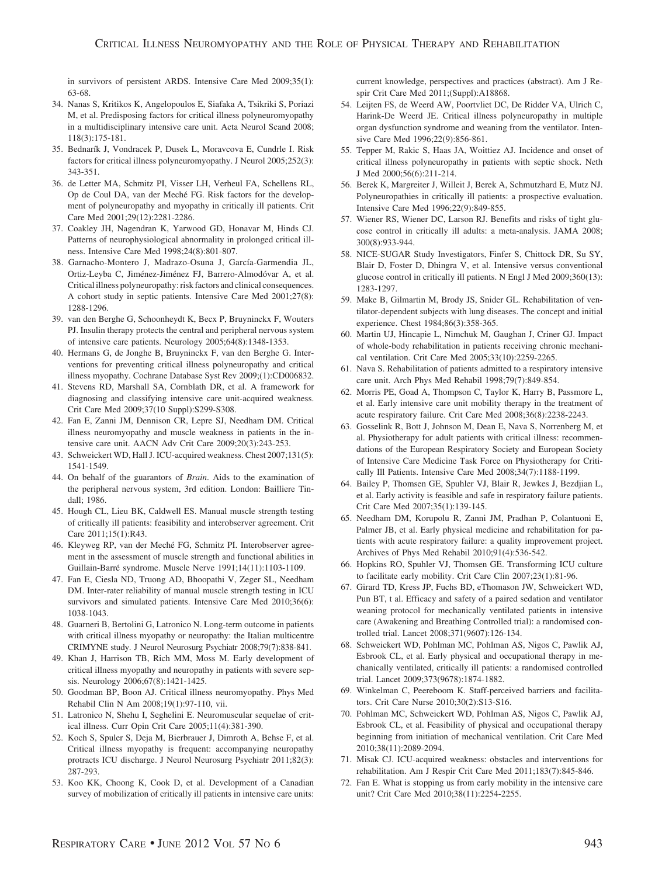in survivors of persistent ARDS. Intensive Care Med 2009;35(1): 63-68.

- 34. Nanas S, Kritikos K, Angelopoulos E, Siafaka A, Tsikriki S, Poriazi M, et al. Predisposing factors for critical illness polyneuromyopathy in a multidisciplinary intensive care unit. Acta Neurol Scand 2008; 118(3):175-181.
- 35. Bednarík J, Vondracek P, Dusek L, Moravcova E, Cundrle I. Risk factors for critical illness polyneuromyopathy. J Neurol 2005;252(3): 343-351.
- 36. de Letter MA, Schmitz PI, Visser LH, Verheul FA, Schellens RL, Op de Coul DA, van der Meché FG. Risk factors for the development of polyneuropathy and myopathy in critically ill patients. Crit Care Med 2001;29(12):2281-2286.
- 37. Coakley JH, Nagendran K, Yarwood GD, Honavar M, Hinds CJ. Patterns of neurophysiological abnormality in prolonged critical illness. Intensive Care Med 1998;24(8):801-807.
- 38. Garnacho-Montero J, Madrazo-Osuna J, García-Garmendia JL, Ortiz-Leyba C, Jiménez-Jiménez FJ, Barrero-Almodóvar A, et al. Critical illness polyneuropathy: risk factors and clinical consequences. A cohort study in septic patients. Intensive Care Med 2001;27(8): 1288-1296.
- 39. van den Berghe G, Schoonheydt K, Becx P, Bruyninckx F, Wouters PJ. Insulin therapy protects the central and peripheral nervous system of intensive care patients. Neurology 2005;64(8):1348-1353.
- 40. Hermans G, de Jonghe B, Bruyninckx F, van den Berghe G. Interventions for preventing critical illness polyneuropathy and critical illness myopathy. Cochrane Database Syst Rev 2009;(1):CD006832.
- 41. Stevens RD, Marshall SA, Cornblath DR, et al. A framework for diagnosing and classifying intensive care unit-acquired weakness. Crit Care Med 2009;37(10 Suppl):S299-S308.
- 42. Fan E, Zanni JM, Dennison CR, Lepre SJ, Needham DM. Critical illness neuromyopathy and muscle weakness in patients in the intensive care unit. AACN Adv Crit Care 2009;20(3):243-253.
- 43. Schweickert WD, Hall J. ICU-acquired weakness. Chest 2007;131(5): 1541-1549.
- 44. On behalf of the guarantors of *Brain*. Aids to the examination of the peripheral nervous system, 3rd edition. London: Bailliere Tindall; 1986.
- 45. Hough CL, Lieu BK, Caldwell ES. Manual muscle strength testing of critically ill patients: feasibility and interobserver agreement. Crit Care 2011;15(1):R43.
- 46. Kleyweg RP, van der Meché FG, Schmitz PI. Interobserver agreement in the assessment of muscle strength and functional abilities in Guillain-Barre´ syndrome. Muscle Nerve 1991;14(11):1103-1109.
- 47. Fan E, Ciesla ND, Truong AD, Bhoopathi V, Zeger SL, Needham DM. Inter-rater reliability of manual muscle strength testing in ICU survivors and simulated patients. Intensive Care Med 2010;36(6): 1038-1043.
- 48. Guarneri B, Bertolini G, Latronico N. Long-term outcome in patients with critical illness myopathy or neuropathy: the Italian multicentre CRIMYNE study. J Neurol Neurosurg Psychiatr 2008;79(7):838-841.
- 49. Khan J, Harrison TB, Rich MM, Moss M. Early development of critical illness myopathy and neuropathy in patients with severe sepsis. Neurology 2006;67(8):1421-1425.
- 50. Goodman BP, Boon AJ. Critical illness neuromyopathy. Phys Med Rehabil Clin N Am 2008;19(1):97-110, vii.
- 51. Latronico N, Shehu I, Seghelini E. Neuromuscular sequelae of critical illness. Curr Opin Crit Care 2005;11(4):381-390.
- 52. Koch S, Spuler S, Deja M, Bierbrauer J, Dimroth A, Behse F, et al. Critical illness myopathy is frequent: accompanying neuropathy protracts ICU discharge. J Neurol Neurosurg Psychiatr 2011;82(3): 287-293.
- 53. Koo KK, Choong K, Cook D, et al. Development of a Canadian survey of mobilization of critically ill patients in intensive care units:

current knowledge, perspectives and practices (abstract). Am J Respir Crit Care Med 2011;(Suppl):A18868.

- 54. Leijten FS, de Weerd AW, Poortvliet DC, De Ridder VA, Ulrich C, Harink-De Weerd JE. Critical illness polyneuropathy in multiple organ dysfunction syndrome and weaning from the ventilator. Intensive Care Med 1996;22(9):856-861.
- 55. Tepper M, Rakic S, Haas JA, Woittiez AJ. Incidence and onset of critical illness polyneuropathy in patients with septic shock. Neth J Med 2000;56(6):211-214.
- 56. Berek K, Margreiter J, Willeit J, Berek A, Schmutzhard E, Mutz NJ. Polyneuropathies in critically ill patients: a prospective evaluation. Intensive Care Med 1996;22(9):849-855.
- 57. Wiener RS, Wiener DC, Larson RJ. Benefits and risks of tight glucose control in critically ill adults: a meta-analysis. JAMA 2008; 300(8):933-944.
- 58. NICE-SUGAR Study Investigators, Finfer S, Chittock DR, Su SY, Blair D, Foster D, Dhingra V, et al. Intensive versus conventional glucose control in critically ill patients. N Engl J Med 2009;360(13): 1283-1297.
- 59. Make B, Gilmartin M, Brody JS, Snider GL. Rehabilitation of ventilator-dependent subjects with lung diseases. The concept and initial experience. Chest 1984;86(3):358-365.
- 60. Martin UJ, Hincapie L, Nimchuk M, Gaughan J, Criner GJ. Impact of whole-body rehabilitation in patients receiving chronic mechanical ventilation. Crit Care Med 2005;33(10):2259-2265.
- 61. Nava S. Rehabilitation of patients admitted to a respiratory intensive care unit. Arch Phys Med Rehabil 1998;79(7):849-854.
- 62. Morris PE, Goad A, Thompson C, Taylor K, Harry B, Passmore L, et al. Early intensive care unit mobility therapy in the treatment of acute respiratory failure. Crit Care Med 2008;36(8):2238-2243.
- 63. Gosselink R, Bott J, Johnson M, Dean E, Nava S, Norrenberg M, et al. Physiotherapy for adult patients with critical illness: recommendations of the European Respiratory Society and European Society of Intensive Care Medicine Task Force on Physiotherapy for Critically Ill Patients. Intensive Care Med 2008;34(7):1188-1199.
- 64. Bailey P, Thomsen GE, Spuhler VJ, Blair R, Jewkes J, Bezdjian L, et al. Early activity is feasible and safe in respiratory failure patients. Crit Care Med 2007;35(1):139-145.
- 65. Needham DM, Korupolu R, Zanni JM, Pradhan P, Colantuoni E, Palmer JB, et al. Early physical medicine and rehabilitation for patients with acute respiratory failure: a quality improvement project. Archives of Phys Med Rehabil 2010;91(4):536-542.
- 66. Hopkins RO, Spuhler VJ, Thomsen GE. Transforming ICU culture to facilitate early mobility. Crit Care Clin 2007;23(1):81-96.
- 67. Girard TD, Kress JP, Fuchs BD, eThomason JW, Schweickert WD, Pun BT, t al. Efficacy and safety of a paired sedation and ventilator weaning protocol for mechanically ventilated patients in intensive care (Awakening and Breathing Controlled trial): a randomised controlled trial. Lancet 2008;371(9607):126-134.
- 68. Schweickert WD, Pohlman MC, Pohlman AS, Nigos C, Pawlik AJ, Esbrook CL, et al. Early physical and occupational therapy in mechanically ventilated, critically ill patients: a randomised controlled trial. Lancet 2009;373(9678):1874-1882.
- 69. Winkelman C, Peereboom K. Staff-perceived barriers and facilitators. Crit Care Nurse 2010;30(2):S13-S16.
- 70. Pohlman MC, Schweickert WD, Pohlman AS, Nigos C, Pawlik AJ, Esbrook CL, et al. Feasibility of physical and occupational therapy beginning from initiation of mechanical ventilation. Crit Care Med 2010;38(11):2089-2094.
- 71. Misak CJ. ICU-acquired weakness: obstacles and interventions for rehabilitation. Am J Respir Crit Care Med 2011;183(7):845-846.
- 72. Fan E. What is stopping us from early mobility in the intensive care unit? Crit Care Med 2010;38(11):2254-2255.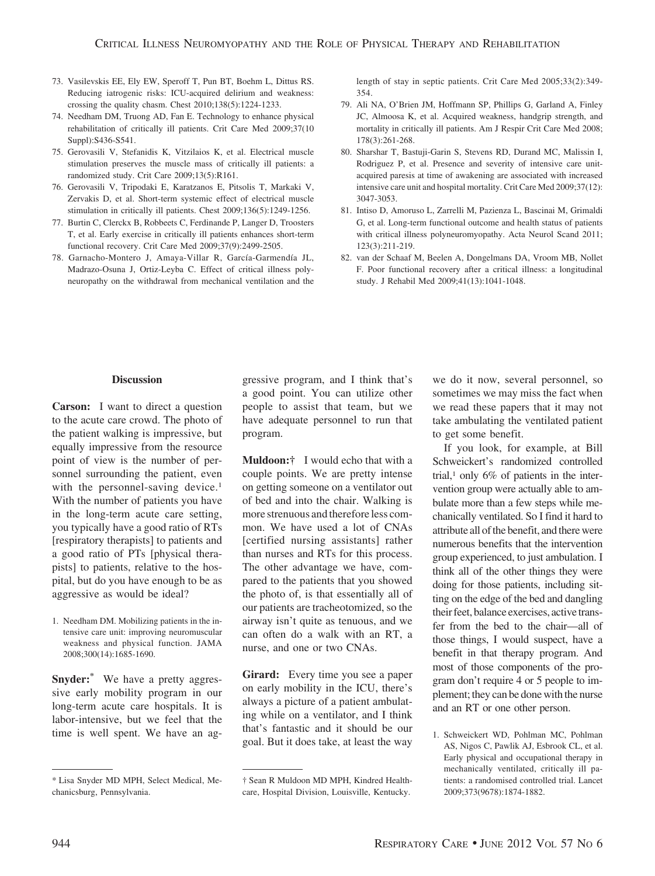- 73. Vasilevskis EE, Ely EW, Speroff T, Pun BT, Boehm L, Dittus RS. Reducing iatrogenic risks: ICU-acquired delirium and weakness: crossing the quality chasm. Chest 2010;138(5):1224-1233.
- 74. Needham DM, Truong AD, Fan E. Technology to enhance physical rehabilitation of critically ill patients. Crit Care Med 2009;37(10 Suppl):S436-S541.
- 75. Gerovasili V, Stefanidis K, Vitzilaios K, et al. Electrical muscle stimulation preserves the muscle mass of critically ill patients: a randomized study. Crit Care 2009;13(5):R161.
- 76. Gerovasili V, Tripodaki E, Karatzanos E, Pitsolis T, Markaki V, Zervakis D, et al. Short-term systemic effect of electrical muscle stimulation in critically ill patients. Chest 2009;136(5):1249-1256.
- 77. Burtin C, Clerckx B, Robbeets C, Ferdinande P, Langer D, Troosters T, et al. Early exercise in critically ill patients enhances short-term functional recovery. Crit Care Med 2009;37(9):2499-2505.
- 78. Garnacho-Montero J, Amaya-Villar R, García-Garmendía JL, Madrazo-Osuna J, Ortiz-Leyba C. Effect of critical illness polyneuropathy on the withdrawal from mechanical ventilation and the

length of stay in septic patients. Crit Care Med 2005;33(2):349- 354.

- 79. Ali NA, O'Brien JM, Hoffmann SP, Phillips G, Garland A, Finley JC, Almoosa K, et al. Acquired weakness, handgrip strength, and mortality in critically ill patients. Am J Respir Crit Care Med 2008; 178(3):261-268.
- 80. Sharshar T, Bastuji-Garin S, Stevens RD, Durand MC, Malissin I, Rodriguez P, et al. Presence and severity of intensive care unitacquired paresis at time of awakening are associated with increased intensive care unit and hospital mortality. Crit Care Med 2009;37(12): 3047-3053.
- 81. Intiso D, Amoruso L, Zarrelli M, Pazienza L, Bascinai M, Grimaldi G, et al. Long-term functional outcome and health status of patients with critical illness polyneuromyopathy. Acta Neurol Scand 2011; 123(3):211-219.
- 82. van der Schaaf M, Beelen A, Dongelmans DA, Vroom MB, Nollet F. Poor functional recovery after a critical illness: a longitudinal study. J Rehabil Med 2009;41(13):1041-1048.

#### **Discussion**

**Carson:** I want to direct a question to the acute care crowd. The photo of the patient walking is impressive, but equally impressive from the resource point of view is the number of personnel surrounding the patient, even with the personnel-saving device.<sup>1</sup> With the number of patients you have in the long-term acute care setting, you typically have a good ratio of RTs [respiratory therapists] to patients and a good ratio of PTs [physical therapists] to patients, relative to the hospital, but do you have enough to be as aggressive as would be ideal?

1. Needham DM. Mobilizing patients in the intensive care unit: improving neuromuscular weakness and physical function. JAMA 2008;300(14):1685-1690.

**Snyder:\*** We have a pretty aggressive early mobility program in our long-term acute care hospitals. It is labor-intensive, but we feel that the time is well spent. We have an aggressive program, and I think that's a good point. You can utilize other people to assist that team, but we have adequate personnel to run that program.

**Muldoon:†** I would echo that with a couple points. We are pretty intense on getting someone on a ventilator out of bed and into the chair. Walking is more strenuous and therefore less common. We have used a lot of CNAs [certified nursing assistants] rather than nurses and RTs for this process. The other advantage we have, compared to the patients that you showed the photo of, is that essentially all of our patients are tracheotomized, so the airway isn't quite as tenuous, and we can often do a walk with an RT, a nurse, and one or two CNAs.

**Girard:** Every time you see a paper on early mobility in the ICU, there's always a picture of a patient ambulating while on a ventilator, and I think that's fantastic and it should be our goal. But it does take, at least the way

we do it now, several personnel, so sometimes we may miss the fact when we read these papers that it may not take ambulating the ventilated patient to get some benefit.

If you look, for example, at Bill Schweickert's randomized controlled trial, $\frac{1}{1}$  only 6% of patients in the intervention group were actually able to ambulate more than a few steps while mechanically ventilated. So I find it hard to attribute all of the benefit, and there were numerous benefits that the intervention group experienced, to just ambulation. I think all of the other things they were doing for those patients, including sitting on the edge of the bed and dangling their feet, balance exercises, active transfer from the bed to the chair—all of those things, I would suspect, have a benefit in that therapy program. And most of those components of the program don't require 4 or 5 people to implement; they can be done with the nurse and an RT or one other person.

1. Schweickert WD, Pohlman MC, Pohlman AS, Nigos C, Pawlik AJ, Esbrook CL, et al. Early physical and occupational therapy in mechanically ventilated, critically ill patients: a randomised controlled trial. Lancet 2009;373(9678):1874-1882.

<sup>\*</sup> Lisa Snyder MD MPH, Select Medical, Mechanicsburg, Pennsylvania.

<sup>†</sup> Sean R Muldoon MD MPH, Kindred Healthcare, Hospital Division, Louisville, Kentucky.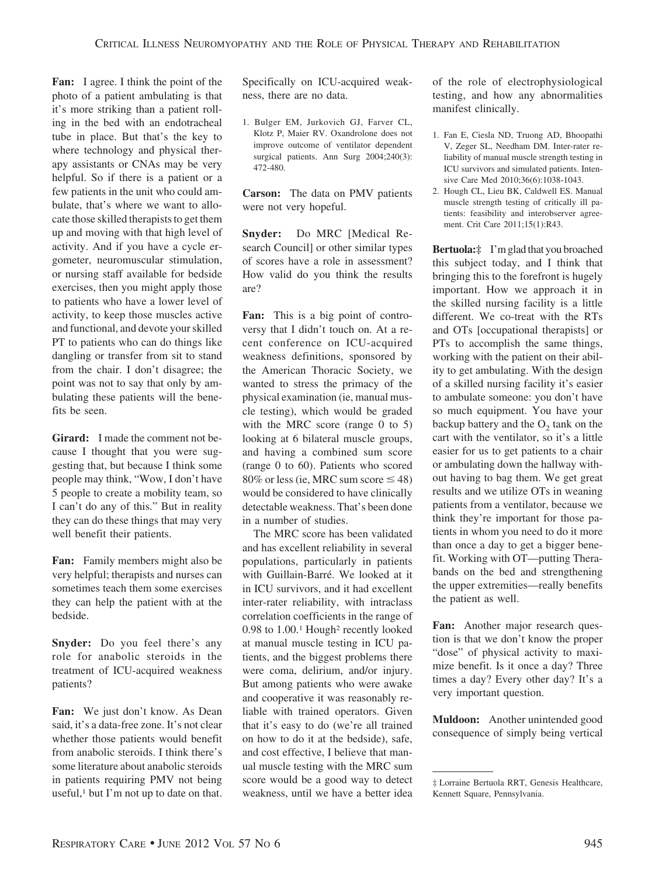**Fan:** I agree. I think the point of the photo of a patient ambulating is that it's more striking than a patient rolling in the bed with an endotracheal tube in place. But that's the key to where technology and physical therapy assistants or CNAs may be very helpful. So if there is a patient or a few patients in the unit who could ambulate, that's where we want to allocate those skilled therapists to get them up and moving with that high level of activity. And if you have a cycle ergometer, neuromuscular stimulation, or nursing staff available for bedside exercises, then you might apply those to patients who have a lower level of activity, to keep those muscles active and functional, and devote your skilled PT to patients who can do things like dangling or transfer from sit to stand from the chair. I don't disagree; the point was not to say that only by ambulating these patients will the benefits be seen.

**Girard:** I made the comment not because I thought that you were suggesting that, but because I think some people may think, "Wow, I don't have 5 people to create a mobility team, so I can't do any of this." But in reality they can do these things that may very well benefit their patients.

**Fan:** Family members might also be very helpful; therapists and nurses can sometimes teach them some exercises they can help the patient with at the bedside.

**Snyder:** Do you feel there's any role for anabolic steroids in the treatment of ICU-acquired weakness patients?

**Fan:** We just don't know. As Dean said, it's a data-free zone. It's not clear whether those patients would benefit from anabolic steroids. I think there's some literature about anabolic steroids in patients requiring PMV not being useful, $1$  but I'm not up to date on that.

Specifically on ICU-acquired weakness, there are no data.

1. Bulger EM, Jurkovich GJ, Farver CL, Klotz P, Maier RV. Oxandrolone does not improve outcome of ventilator dependent surgical patients. Ann Surg 2004;240(3): 472-480.

**Carson:** The data on PMV patients were not very hopeful.

**Snyder:** Do MRC [Medical Research Council] or other similar types of scores have a role in assessment? How valid do you think the results are?

**Fan:** This is a big point of controversy that I didn't touch on. At a recent conference on ICU-acquired weakness definitions, sponsored by the American Thoracic Society, we wanted to stress the primacy of the physical examination (ie, manual muscle testing), which would be graded with the MRC score (range 0 to 5) looking at 6 bilateral muscle groups, and having a combined sum score (range 0 to 60). Patients who scored 80% or less (ie, MRC sum score  $\leq 48$ ) would be considered to have clinically detectable weakness. That's been done in a number of studies.

The MRC score has been validated and has excellent reliability in several populations, particularly in patients with Guillain-Barré. We looked at it in ICU survivors, and it had excellent inter-rater reliability, with intraclass correlation coefficients in the range of 0.98 to 1.00.<sup>1</sup> Hough<sup>2</sup> recently looked at manual muscle testing in ICU patients, and the biggest problems there were coma, delirium, and/or injury. But among patients who were awake and cooperative it was reasonably reliable with trained operators. Given that it's easy to do (we're all trained on how to do it at the bedside), safe, and cost effective, I believe that manual muscle testing with the MRC sum score would be a good way to detect weakness, until we have a better idea of the role of electrophysiological testing, and how any abnormalities manifest clinically.

- 1. Fan E, Ciesla ND, Truong AD, Bhoopathi V, Zeger SL, Needham DM. Inter-rater reliability of manual muscle strength testing in ICU survivors and simulated patients. Intensive Care Med 2010;36(6):1038-1043.
- 2. Hough CL, Lieu BK, Caldwell ES. Manual muscle strength testing of critically ill patients: feasibility and interobserver agreement. Crit Care 2011;15(1):R43.

**Bertuola:‡** I'm glad that you broached this subject today, and I think that bringing this to the forefront is hugely important. How we approach it in the skilled nursing facility is a little different. We co-treat with the RTs and OTs [occupational therapists] or PTs to accomplish the same things, working with the patient on their ability to get ambulating. With the design of a skilled nursing facility it's easier to ambulate someone: you don't have so much equipment. You have your backup battery and the  $O<sub>2</sub>$  tank on the cart with the ventilator, so it's a little easier for us to get patients to a chair or ambulating down the hallway without having to bag them. We get great results and we utilize OTs in weaning patients from a ventilator, because we think they're important for those patients in whom you need to do it more than once a day to get a bigger benefit. Working with OT—putting Therabands on the bed and strengthening the upper extremities—really benefits the patient as well.

**Fan:** Another major research question is that we don't know the proper "dose" of physical activity to maximize benefit. Is it once a day? Three times a day? Every other day? It's a very important question.

**Muldoon:** Another unintended good consequence of simply being vertical

<sup>‡</sup> Lorraine Bertuola RRT, Genesis Healthcare, Kennett Square, Pennsylvania.